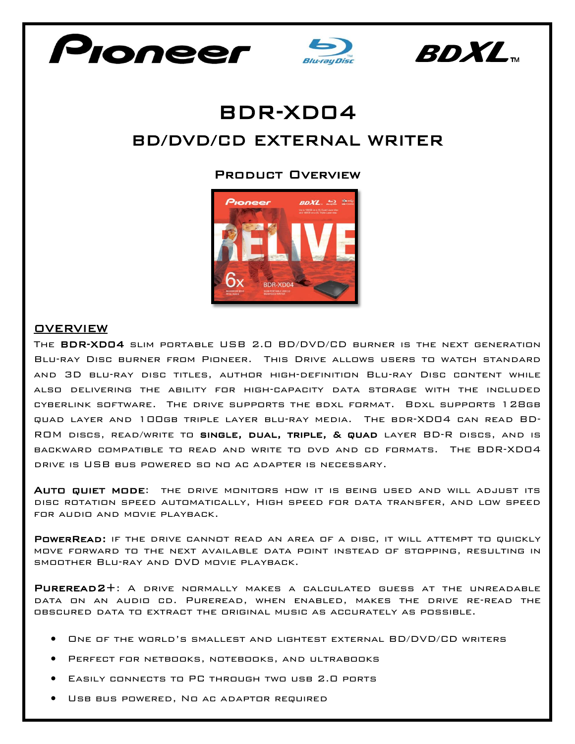





## BDR-XD04 BD/DVD/CD EXTERNAL WRITER

## Product Overview



## **OVERVIEW**

The BDR-XD04 slim portable USB 2.0 BD/DVD/CD burner is the next generation Blu-ray Disc burner from Pioneer. This Drive allows users to watch standard and 3D blu-ray disc titles, author high-definition Blu-ray Disc content while also delivering the ability for high-capacity data storage with the included cyberlink software. The drive supports the bdxl format. Bdxl supports 128gb quad layer and 100gb triple layer blu-ray media. The bdr-XD04 can read BD-ROM discs, read/write to single, dual, triple, & quad layer BD-R discs, and is backward compatible to read and write to dvd and cd formats. The BDR-XD04 drive is USB bus powered so no ac adapter is necessary.

Auto quiet mode: the drive monitors how it is being used and will adjust its disc rotation speed automatically, High speed for data transfer, and low speed for audio and movie playback.

POWERREAD: IF THE DRIVE CANNOT READ AN AREA OF A DISC, IT WILL ATTEMPT TO QUICKLY move forward to the next available data point instead of stopping, resulting in smoother Blu-ray and DVD movie playback.

Pureread2+: A drive normally makes a calculated guess at the unreadable data on an audio cd. Pureread, when enabled, makes the drive re-read the obscured data to extract the original music as accurately as possible.

- One of the world's smallest and lightest external BD/DVD/CD writers
- Perfect for netbooks, notebooks, and ultrabooks
- Easily connects to PC through two usb 2.0 ports
- Usb bus powered, No ac adaptor required